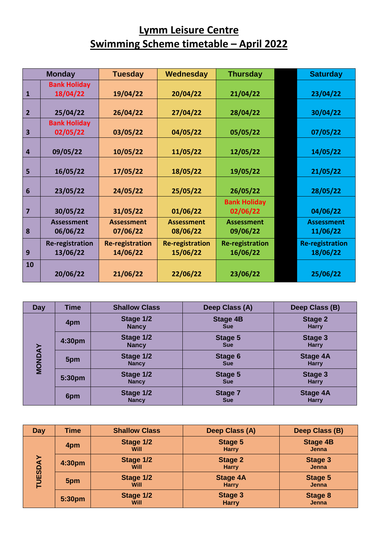## **Lymm Leisure Centre Swimming Scheme timetable – April 2022**

|                         | <b>Monday</b>                      | <b>Tuesday</b>                     | Wednesday                          | <b>Thursday</b>                    | <b>Saturday</b>                    |
|-------------------------|------------------------------------|------------------------------------|------------------------------------|------------------------------------|------------------------------------|
| $\mathbf{1}$            | <b>Bank Holiday</b><br>18/04/22    | 19/04/22                           | 20/04/22                           | 21/04/22                           | 23/04/22                           |
| $\overline{2}$          | 25/04/22                           | 26/04/22                           | 27/04/22                           | 28/04/22                           | 30/04/22                           |
| $\overline{\mathbf{3}}$ | <b>Bank Holiday</b><br>02/05/22    | 03/05/22                           | 04/05/22                           | 05/05/22                           | 07/05/22                           |
| $\overline{4}$          | 09/05/22                           | 10/05/22                           | 11/05/22                           | 12/05/22                           | 14/05/22                           |
| 5                       | 16/05/22                           | 17/05/22                           | 18/05/22                           | 19/05/22                           | 21/05/22                           |
| $6\phantom{1}6$         | 23/05/22                           | 24/05/22                           | 25/05/22                           | 26/05/22                           | 28/05/22                           |
| 7                       | 30/05/22                           | 31/05/22                           | 01/06/22                           | <b>Bank Holiday</b><br>02/06/22    | 04/06/22                           |
| 8                       | <b>Assessment</b><br>06/06/22      | <b>Assessment</b><br>07/06/22      | <b>Assessment</b><br>08/06/22      | <b>Assessment</b><br>09/06/22      | <b>Assessment</b><br>11/06/22      |
| 9                       | <b>Re-registration</b><br>13/06/22 | <b>Re-registration</b><br>14/06/22 | <b>Re-registration</b><br>15/06/22 | <b>Re-registration</b><br>16/06/22 | <b>Re-registration</b><br>18/06/22 |
| 10                      | 20/06/22                           | 21/06/22                           | 22/06/22                           | 23/06/22                           | 25/06/22                           |

| Day           | <b>Time</b> | <b>Shallow Class</b>      | Deep Class (A)                | Deep Class (B)                  |
|---------------|-------------|---------------------------|-------------------------------|---------------------------------|
|               | 4pm         | Stage 1/2<br><b>Nancy</b> | <b>Stage 4B</b><br><b>Sue</b> | <b>Stage 2</b><br><b>Harry</b>  |
|               | 4:30pm      | Stage 1/2<br><b>Nancy</b> | Stage 5<br><b>Sue</b>         | Stage 3<br><b>Harry</b>         |
| <b>MONDAY</b> | 5pm         | Stage 1/2<br><b>Nancy</b> | Stage 6<br><b>Sue</b>         | <b>Stage 4A</b><br><b>Harry</b> |
|               | 5:30pm      | Stage 1/2<br><b>Nancy</b> | Stage 5<br><b>Sue</b>         | Stage 3<br><b>Harry</b>         |
|               | 6pm         | Stage 1/2<br><b>Nancy</b> | <b>Stage 7</b><br><b>Sue</b>  | <b>Stage 4A</b><br><b>Harry</b> |

| Day            | <b>Time</b> | <b>Shallow Class</b>     | Deep Class (A)                  | Deep Class (B)                  |
|----------------|-------------|--------------------------|---------------------------------|---------------------------------|
|                | 4pm         | Stage 1/2<br>Will        | <b>Stage 5</b><br><b>Harry</b>  | <b>Stage 4B</b><br><b>Jenna</b> |
| <b>TUESDAY</b> | 4:30pm      | Stage 1/2<br><b>Will</b> | <b>Stage 2</b><br><b>Harry</b>  | Stage 3<br><b>Jenna</b>         |
|                | 5pm         | Stage 1/2<br><b>Will</b> | <b>Stage 4A</b><br><b>Harry</b> | Stage 5<br><b>Jenna</b>         |
|                | 5:30pm      | Stage 1/2<br>Will        | <b>Stage 3</b><br><b>Harry</b>  | Stage 8<br>Jenna                |